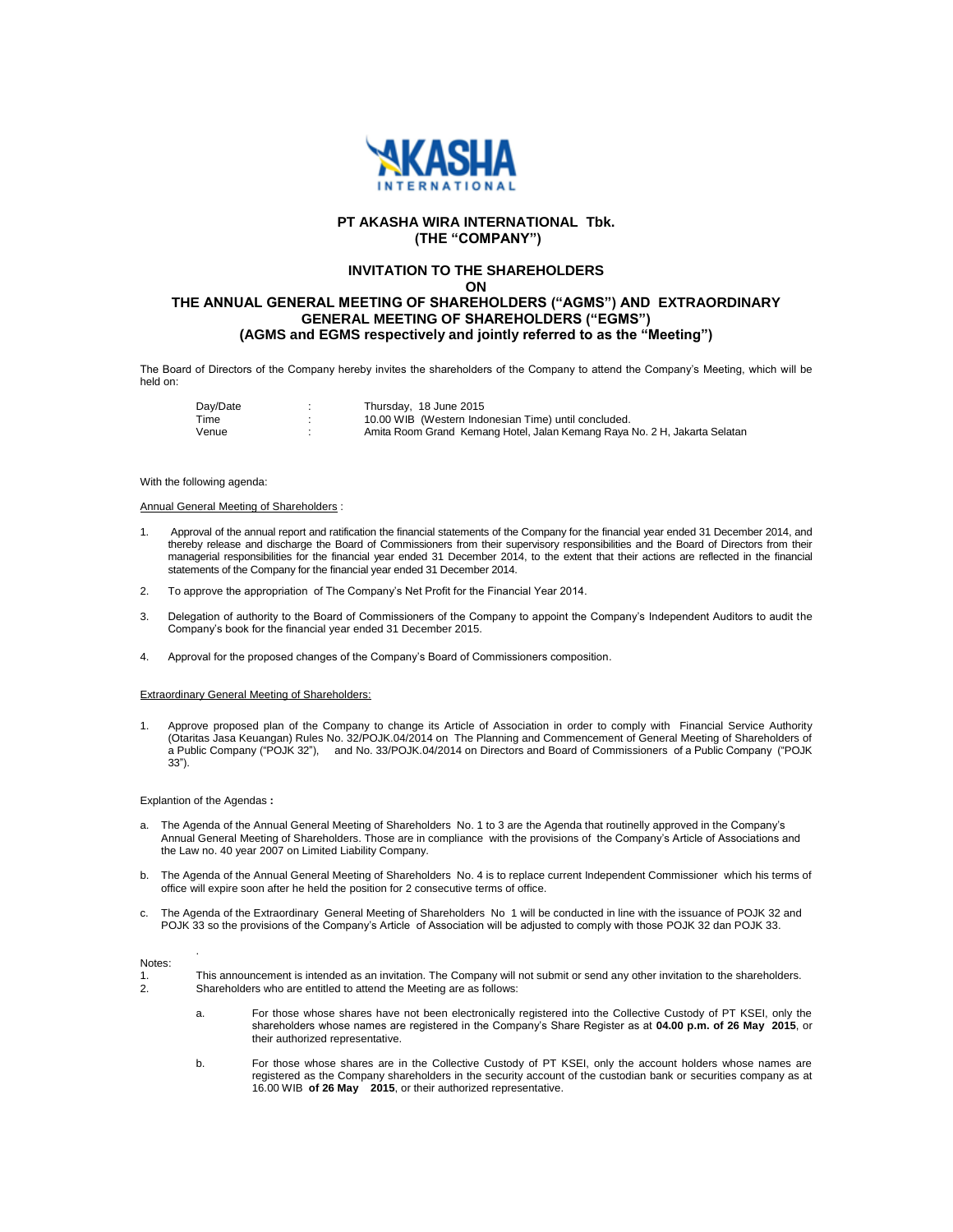

# **PT AKASHA WIRA INTERNATIONAL Tbk. (THE "COMPANY")**

# **INVITATION TO THE SHAREHOLDERS**

**ON**

# **THE ANNUAL GENERAL MEETING OF SHAREHOLDERS ("AGMS") AND EXTRAORDINARY GENERAL MEETING OF SHAREHOLDERS ("EGMS") (AGMS and EGMS respectively and jointly referred to as the "Meeting")**

The Board of Directors of the Company hereby invites the shareholders of the Company to attend the Company's Meeting, which will be held on:

| Dav/Date | Thursday, 18 June 2015                                                    |
|----------|---------------------------------------------------------------------------|
| Time     | 10.00 WIB (Western Indonesian Time) until concluded.                      |
| Venue    | Amita Room Grand Kemang Hotel, Jalan Kemang Raya No. 2 H, Jakarta Selatan |

## With the following agenda:

## Annual General Meeting of Shareholders :

- 1. Approval of the annual report and ratification the financial statements of the Company for the financial year ended 31 December 2014, and thereby release and discharge the Board of Commissioners from their supervisory responsibilities and the Board of Directors from their managerial responsibilities for the financial year ended 31 December 2014, to the extent that their actions are reflected in the financial statements of the Company for the financial year ended 31 December 2014.
- 2. To approve the appropriation of The Company's Net Profit for the Financial Year 2014.
- 3. Delegation of authority to the Board of Commissioners of the Company to appoint the Company's Independent Auditors to audit the Company's book for the financial year ended 31 December 2015.
- 4. Approval for the proposed changes of the Company's Board of Commissioners composition.

## Extraordinary General Meeting of Shareholders:

1. Approve proposed plan of the Company to change its Article of Association in order to comply with Financial Service Authority (Otaritas Jasa Keuangan) Rules No. 32/POJK.04/2014 on The Planning and Commencement of General Meeting of Shareholders of a Public Company ("POJK 32"), and No. 33/POJK.04/2014 on Directors and Board of Commissioners of a Public Company ("POJK 33").

### Explantion of the Agendas **:**

.

- a. The Agenda of the Annual General Meeting of Shareholders No. 1 to 3 are the Agenda that routinelly approved in the Company's Annual General Meeting of Shareholders. Those are in compliance with the provisions of the Company's Article of Associations and the Law no. 40 year 2007 on Limited Liability Company.
- b. The Agenda of the Annual General Meeting of Shareholders No. 4 is to replace current Independent Commissioner which his terms of office will expire soon after he held the position for 2 consecutive terms of office.
- c. The Agenda of the Extraordinary General Meeting of Shareholders No 1 will be conducted in line with the issuance of POJK 32 and POJK 33 so the provisions of the Company's Article of Association will be adjusted to comply with those POJK 32 dan POJK 33.

#### Notes:

- 1. This announcement is intended as an invitation. The Company will not submit or send any other invitation to the shareholders. 2. Shareholders who are entitled to attend the Meeting are as follows:
	- a. For those whose shares have not been electronically registered into the Collective Custody of PT KSEI, only the shareholders whose names are registered in the Company's Share Register as at **04.00 p.m. of 26 May 2015**, or their authorized representative.
	- b. For those whose shares are in the Collective Custody of PT KSEI, only the account holders whose names are registered as the Company shareholders in the security account of the custodian bank or securities company as at 16.00 WIB **of 26 May 2015**, or their authorized representative.